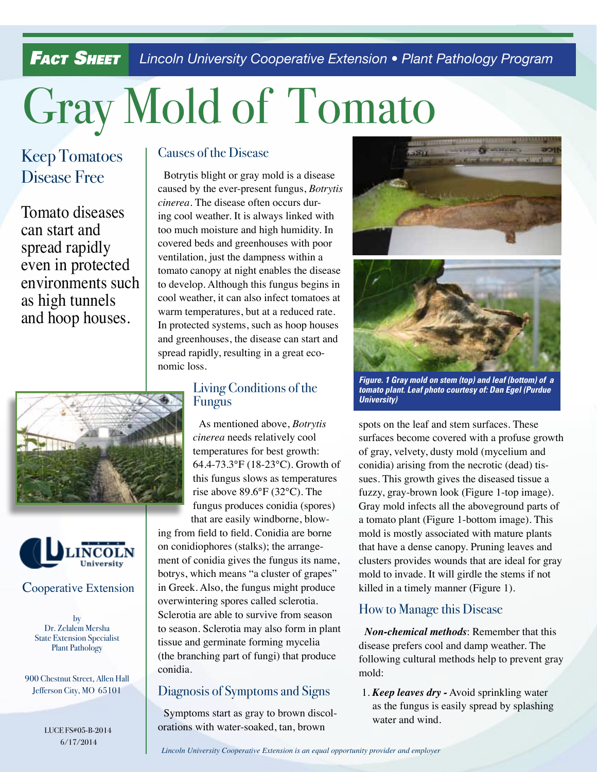**Fact Sheet** Lincoln University Cooperative Extension • Plant Pathology Program

# Gray Mold of Tomato

# Keep Tomatoes Disease Free

Tomato diseases can start and spread rapidly even in protected environments such as high tunnels and hoop houses.





#### Cooperative Extension

by Dr. Zelalem Mersha State Extension Specialist Plant Pathology

900 Chestnut Street, Allen Hall Jefferson City, MO 65101

> LUCE FS#05-B-2014 6/17/2014

### Causes of the Disease

Botrytis blight or gray mold is a disease caused by the ever-present fungus, *Botrytis cinerea.* The disease often occurs during cool weather. It is always linked with too much moisture and high humidity. In covered beds and greenhouses with poor ventilation, just the dampness within a tomato canopy at night enables the disease to develop. Although this fungus begins in cool weather, it can also infect tomatoes at warm temperatures, but at a reduced rate. In protected systems, such as hoop houses and greenhouses, the disease can start and spread rapidly, resulting in a great economic loss.

## Living Conditions of the Fungus

As mentioned above, *Botrytis cinerea* needs relatively cool temperatures for best growth: 64.4-73.3°F (18-23°C). Growth of this fungus slows as temperatures rise above 89.6°F (32°C). The fungus produces conidia (spores) that are easily windborne, blow-

ing from field to field. Conidia are borne on conidiophores (stalks); the arrangement of conidia gives the fungus its name, botrys, which means "a cluster of grapes" in Greek. Also, the fungus might produce overwintering spores called sclerotia. Sclerotia are able to survive from season to season. Sclerotia may also form in plant tissue and germinate forming mycelia (the branching part of fungi) that produce conidia.

# Diagnosis of Symptoms and Signs

Symptoms start as gray to brown discolorations with water-soaked, tan, brown





*Figure. 1 Gray mold on stem (top) and leaf (bottom) of a tomato plant. Leaf photo courtesy of: Dan Egel (Purdue University)*

spots on the leaf and stem surfaces. These surfaces become covered with a profuse growth of gray, velvety, dusty mold (mycelium and conidia) arising from the necrotic (dead) tissues. This growth gives the diseased tissue a fuzzy, gray-brown look (Figure 1-top image). Gray mold infects all the aboveground parts of a tomato plant (Figure 1-bottom image). This mold is mostly associated with mature plants that have a dense canopy. Pruning leaves and clusters provides wounds that are ideal for gray mold to invade. It will girdle the stems if not killed in a timely manner (Figure 1).

## How to Manage this Disease

*Non-chemical methods*: Remember that this disease prefers cool and damp weather. The following cultural methods help to prevent gray mold:

1. *Keep leaves dry -* Avoid sprinkling water as the fungus is easily spread by splashing water and wind.